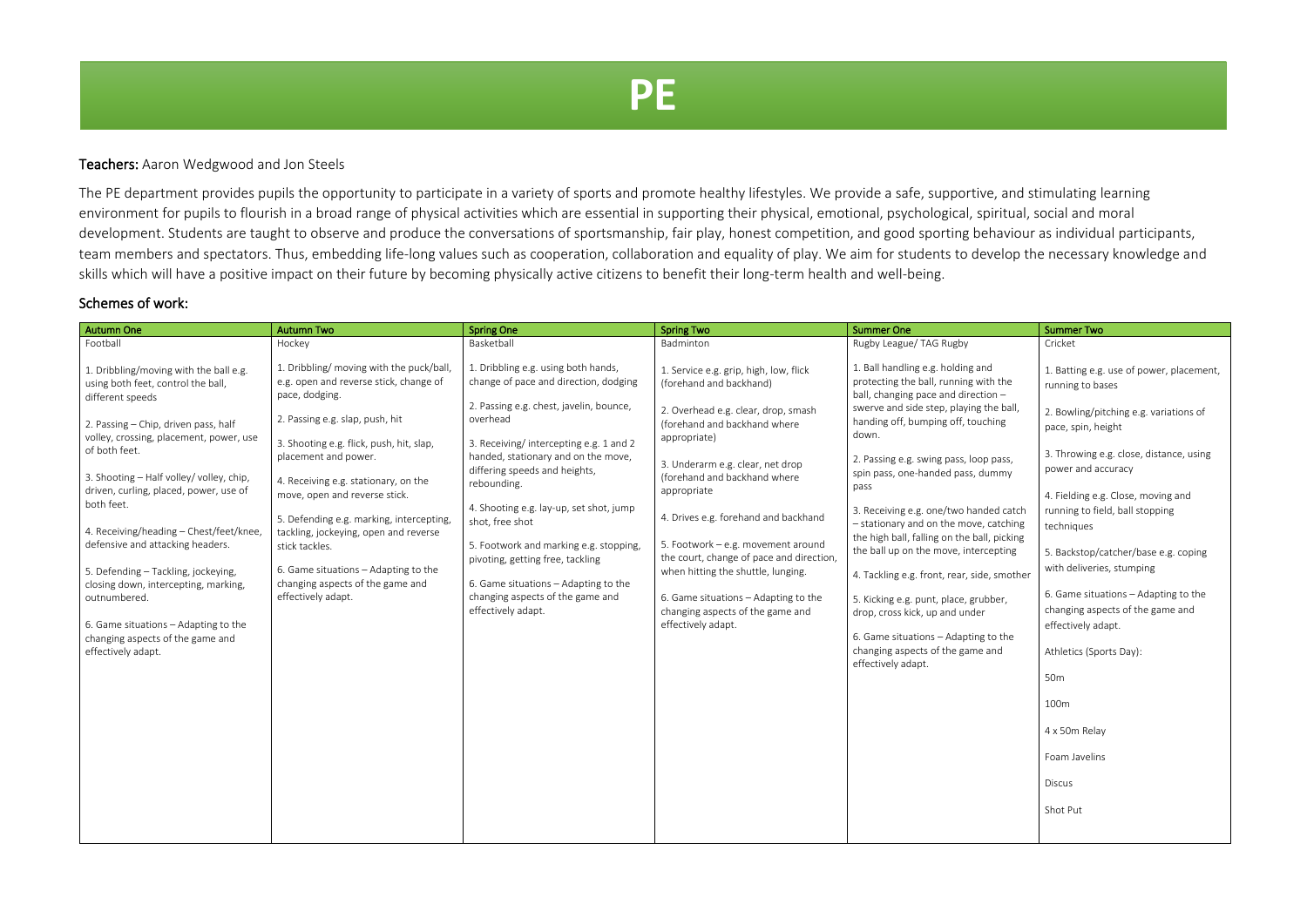## Teachers: Aaron Wedgwood and Jon Steels

The PE department provides pupils the opportunity to participate in a variety of sports and promote healthy lifestyles. We provide a safe, supportive, and stimulating learning environment for pupils to flourish in a broad range of physical activities which are essential in supporting their physical, emotional, psychological, spiritual, social and moral development. Students are taught to observe and produce the conversations of sportsmanship, fair play, honest competition, and good sporting behaviour as individual participants, team members and spectators. Thus, embedding life-long values such as cooperation, collaboration and equality of play. We aim for students to develop the necessary knowledge and skills which will have a positive impact on their future by becoming physically active citizens to benefit their long-term health and well-being.

## Schemes of work:

| <b>Autumn One</b>                                                                                                                                                                                                                                                                                                                                                                                                                                                                                                                                                                        | <b>Autumn Two</b>                                                                                                                                                                                                                                                                                                                                                                                                                                                                             | <b>Spring One</b>                                                                                                                                                                                                                                                                                                                                                                                                                                                                                                  | <b>Spring Two</b>                                                                                                                                                                                                                                                                                                                                                                                                                                                                                             | <b>Summer One</b>                                                                                                                                                                                                                                                                                                                                                                                                                                                                                                                                                                                                                                                                                          | <b>Summer Two</b>                                                                                                                                                                                                                                                                                                                                                                                                                                                                                                                                                         |
|------------------------------------------------------------------------------------------------------------------------------------------------------------------------------------------------------------------------------------------------------------------------------------------------------------------------------------------------------------------------------------------------------------------------------------------------------------------------------------------------------------------------------------------------------------------------------------------|-----------------------------------------------------------------------------------------------------------------------------------------------------------------------------------------------------------------------------------------------------------------------------------------------------------------------------------------------------------------------------------------------------------------------------------------------------------------------------------------------|--------------------------------------------------------------------------------------------------------------------------------------------------------------------------------------------------------------------------------------------------------------------------------------------------------------------------------------------------------------------------------------------------------------------------------------------------------------------------------------------------------------------|---------------------------------------------------------------------------------------------------------------------------------------------------------------------------------------------------------------------------------------------------------------------------------------------------------------------------------------------------------------------------------------------------------------------------------------------------------------------------------------------------------------|------------------------------------------------------------------------------------------------------------------------------------------------------------------------------------------------------------------------------------------------------------------------------------------------------------------------------------------------------------------------------------------------------------------------------------------------------------------------------------------------------------------------------------------------------------------------------------------------------------------------------------------------------------------------------------------------------------|---------------------------------------------------------------------------------------------------------------------------------------------------------------------------------------------------------------------------------------------------------------------------------------------------------------------------------------------------------------------------------------------------------------------------------------------------------------------------------------------------------------------------------------------------------------------------|
| Football                                                                                                                                                                                                                                                                                                                                                                                                                                                                                                                                                                                 | Hockey                                                                                                                                                                                                                                                                                                                                                                                                                                                                                        | Basketball                                                                                                                                                                                                                                                                                                                                                                                                                                                                                                         | Badminton                                                                                                                                                                                                                                                                                                                                                                                                                                                                                                     | Rugby League/ TAG Rugby                                                                                                                                                                                                                                                                                                                                                                                                                                                                                                                                                                                                                                                                                    | Cricket                                                                                                                                                                                                                                                                                                                                                                                                                                                                                                                                                                   |
| 1. Dribbling/moving with the ball e.g.<br>using both feet, control the ball,<br>different speeds<br>2. Passing - Chip, driven pass, half<br>volley, crossing, placement, power, use<br>of both feet.<br>3. Shooting - Half volley/ volley, chip,<br>driven, curling, placed, power, use of<br>both feet.<br>4. Receiving/heading - Chest/feet/knee,<br>defensive and attacking headers.<br>5. Defending - Tackling, jockeying,<br>closing down, intercepting, marking,<br>outnumbered.<br>6. Game situations - Adapting to the<br>changing aspects of the game and<br>effectively adapt. | 1. Dribbling/ moving with the puck/ball,<br>e.g. open and reverse stick, change of<br>pace, dodging.<br>2. Passing e.g. slap, push, hit<br>3. Shooting e.g. flick, push, hit, slap,<br>placement and power.<br>4. Receiving e.g. stationary, on the<br>move, open and reverse stick.<br>5. Defending e.g. marking, intercepting,<br>tackling, jockeying, open and reverse<br>stick tackles.<br>6. Game situations - Adapting to the<br>changing aspects of the game and<br>effectively adapt. | 1. Dribbling e.g. using both hands,<br>change of pace and direction, dodging<br>2. Passing e.g. chest, javelin, bounce,<br>overhead<br>3. Receiving/intercepting e.g. 1 and 2<br>handed, stationary and on the move,<br>differing speeds and heights,<br>rebounding.<br>4. Shooting e.g. lay-up, set shot, jump<br>shot, free shot<br>5. Footwork and marking e.g. stopping,<br>pivoting, getting free, tackling<br>6. Game situations - Adapting to the<br>changing aspects of the game and<br>effectively adapt. | 1. Service e.g. grip, high, low, flick<br>(forehand and backhand)<br>2. Overhead e.g. clear, drop, smash<br>(forehand and backhand where<br>appropriate)<br>3. Underarm e.g. clear, net drop<br>(forehand and backhand where<br>appropriate<br>4. Drives e.g. forehand and backhand<br>5. Footwork - e.g. movement around<br>the court, change of pace and direction,<br>when hitting the shuttle, lunging.<br>6. Game situations - Adapting to the<br>changing aspects of the game and<br>effectively adapt. | 1. Ball handling e.g. holding and<br>protecting the ball, running with the<br>ball, changing pace and direction -<br>swerve and side step, playing the ball,<br>handing off, bumping off, touching<br>down.<br>2. Passing e.g. swing pass, loop pass,<br>spin pass, one-handed pass, dummy<br>pass<br>3. Receiving e.g. one/two handed catch<br>- stationary and on the move, catching<br>the high ball, falling on the ball, picking<br>the ball up on the move, intercepting<br>4. Tackling e.g. front, rear, side, smother<br>5. Kicking e.g. punt, place, grubber,<br>drop, cross kick, up and under<br>6. Game situations - Adapting to the<br>changing aspects of the game and<br>effectively adapt. | 1. Batting e.g. use of power, placement,<br>running to bases<br>2. Bowling/pitching e.g. variations of<br>pace, spin, height<br>3. Throwing e.g. close, distance, using<br>power and accuracy<br>4. Fielding e.g. Close, moving and<br>running to field, ball stopping<br>techniques<br>5. Backstop/catcher/base e.g. coping<br>with deliveries, stumping<br>6. Game situations - Adapting to the<br>changing aspects of the game and<br>effectively adapt.<br>Athletics (Sports Day):<br>50 <sub>m</sub><br>100m<br>4 x 50m Relay<br>Foam Javelins<br>Discus<br>Shot Put |
|                                                                                                                                                                                                                                                                                                                                                                                                                                                                                                                                                                                          |                                                                                                                                                                                                                                                                                                                                                                                                                                                                                               |                                                                                                                                                                                                                                                                                                                                                                                                                                                                                                                    |                                                                                                                                                                                                                                                                                                                                                                                                                                                                                                               |                                                                                                                                                                                                                                                                                                                                                                                                                                                                                                                                                                                                                                                                                                            |                                                                                                                                                                                                                                                                                                                                                                                                                                                                                                                                                                           |